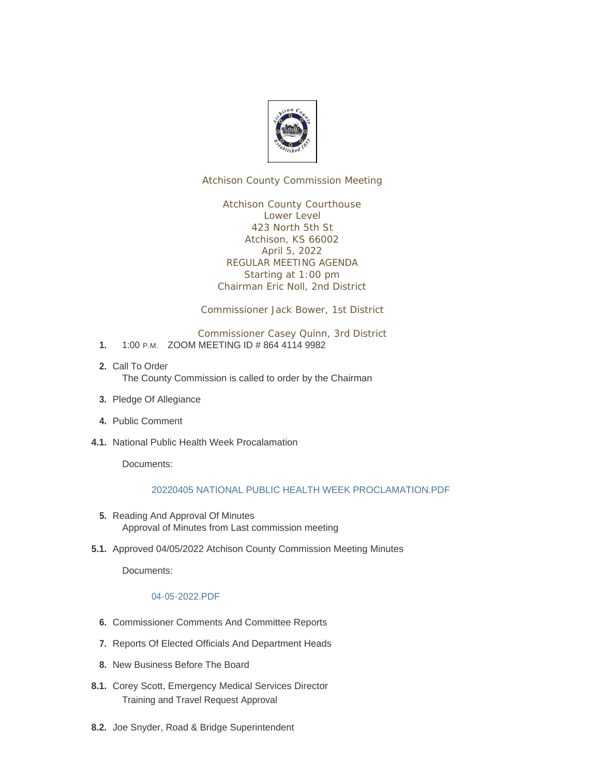

Atchison County Commission Meeting

Atchison County Courthouse Lower Level 423 North 5th St Atchison, KS 66002 April 5, 2022 REGULAR MEETING AGENDA Starting at 1:00 pm Chairman Eric Noll, 2nd District

Commissioner Jack Bower, 1st District

Commissioner Casey Quinn, 3rd District

- 1. 1:00 P.M. ZOOM MEETING ID # 864 4114 9982
- 2. Call To Order The County Commission is called to order by the Chairman
- 3. Pledge Of Allegiance
- Public Comment **4.**
- **4.1. National Public Health Week Procalamation**

Documents:

## [20220405 NATIONAL PUBLIC HEALTH WEEK PROCLAMATION.PDF](http://www.atchisoncountyks.org/AgendaCenter/ViewFile/Item/10577?fileID=1711)

- 5. Reading And Approval Of Minutes Approval of Minutes from Last commission meeting
- 5.1. Approved 04/05/2022 Atchison County Commission Meeting Minutes

Documents:

## [04-05-2022.PDF](http://www.atchisoncountyks.org/AgendaCenter/ViewFile/Item/10541?fileID=1729)

- **6.** Commissioner Comments And Committee Reports
- 7. Reports Of Elected Officials And Department Heads
- 8. New Business Before The Board
- 8.1. Corey Scott, Emergency Medical Services Director Training and Travel Request Approval
- 8.2. Joe Snyder, Road & Bridge Superintendent